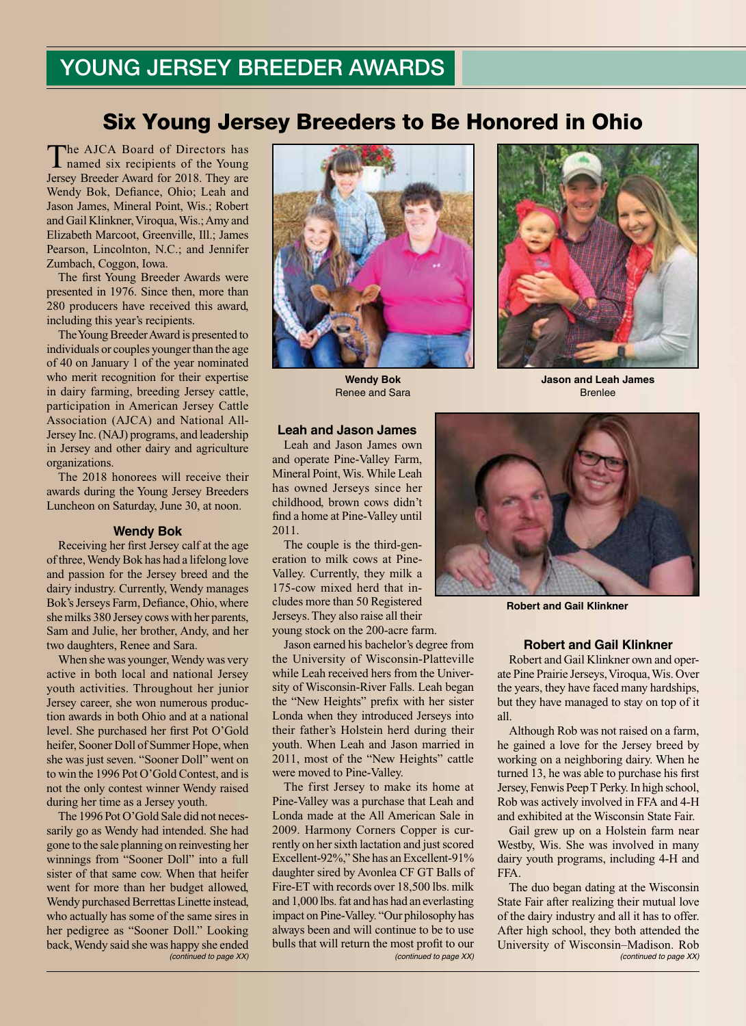# Six Young Jersey Breeders to Be Honored in Ohio

The AJCA Board of Directors has named six recipients of the Young Jersey Breeder Award for 2018. They are Wendy Bok, Defiance, Ohio; Leah and Jason James, Mineral Point, Wis.; Robert and Gail Klinkner, Viroqua, Wis.; Amy and Elizabeth Marcoot, Greenville, Ill.; James Pearson, Lincolnton, N.C.; and Jennifer Zumbach, Coggon, Iowa.

The first Young Breeder Awards were presented in 1976. Since then, more than 280 producers have received this award, including this year's recipients.

The Young Breeder Award is presented to individuals or couples younger than the age of 40 on January 1 of the year nominated who merit recognition for their expertise in dairy farming, breeding Jersey cattle, participation in American Jersey Cattle Association (AJCA) and National All-Jersey Inc. (NAJ) programs, and leadership in Jersey and other dairy and agriculture organizations.

The 2018 honorees will receive their awards during the Young Jersey Breeders Luncheon on Saturday, June 30, at noon.

#### **Wendy Bok**

Receiving her first Jersey calf at the age of three, Wendy Bok has had a lifelong love and passion for the Jersey breed and the dairy industry. Currently, Wendy manages Bok's Jerseys Farm, Defiance, Ohio, where she milks 380 Jersey cows with her parents, Sam and Julie, her brother, Andy, and her two daughters, Renee and Sara.

When she was younger, Wendy was very active in both local and national Jersey youth activities. Throughout her junior Jersey career, she won numerous production awards in both Ohio and at a national level. She purchased her first Pot O'Gold heifer, Sooner Doll of Summer Hope, when she was just seven. "Sooner Doll" went on to win the 1996 Pot O'Gold Contest, and is not the only contest winner Wendy raised during her time as a Jersey youth.

The 1996 Pot O'Gold Sale did not necessarily go as Wendy had intended. She had gone to the sale planning on reinvesting her winnings from "Sooner Doll" into a full sister of that same cow. When that heifer went for more than her budget allowed, Wendy purchased Berrettas Linette instead, who actually has some of the same sires in her pedigree as "Sooner Doll." Looking back, Wendy said she was happy she ended



**Wendy Bok** Renee and Sara



**Jason and Leah James** Brenlee

## **Leah and Jason James**

Leah and Jason James own and operate Pine-Valley Farm, Mineral Point, Wis. While Leah has owned Jerseys since her childhood, brown cows didn't find a home at Pine-Valley until 2011.

The couple is the third-generation to milk cows at Pine-Valley. Currently, they milk a 175-cow mixed herd that includes more than 50 Registered Jerseys. They also raise all their young stock on the 200-acre farm.

Jason earned his bachelor's degree from the University of Wisconsin-Platteville while Leah received hers from the University of Wisconsin-River Falls. Leah began the "New Heights" prefix with her sister Londa when they introduced Jerseys into their father's Holstein herd during their youth. When Leah and Jason married in 2011, most of the "New Heights" cattle were moved to Pine-Valley.

*(continued to page XX) (continued to page XX) (continued to page XX)* The first Jersey to make its home at Pine-Valley was a purchase that Leah and Londa made at the All American Sale in 2009. Harmony Corners Copper is currently on her sixth lactation and just scored Excellent-92%," She has an Excellent-91% daughter sired by Avonlea CF GT Balls of Fire-ET with records over 18,500 lbs. milk and 1,000 lbs. fat and has had an everlasting impact on Pine-Valley. "Our philosophy has always been and will continue to be to use bulls that will return the most profit to our



**Robert and Gail Klinkner**

#### **Robert and Gail Klinkner**

Robert and Gail Klinkner own and operate Pine Prairie Jerseys, Viroqua, Wis. Over the years, they have faced many hardships, but they have managed to stay on top of it all.

Although Rob was not raised on a farm, he gained a love for the Jersey breed by working on a neighboring dairy. When he turned 13, he was able to purchase his first Jersey, Fenwis Peep T Perky. In high school, Rob was actively involved in FFA and 4-H and exhibited at the Wisconsin State Fair.

Gail grew up on a Holstein farm near Westby, Wis. She was involved in many dairy youth programs, including 4-H and FFA.

The duo began dating at the Wisconsin State Fair after realizing their mutual love of the dairy industry and all it has to offer. After high school, they both attended the University of Wisconsin–Madison. Rob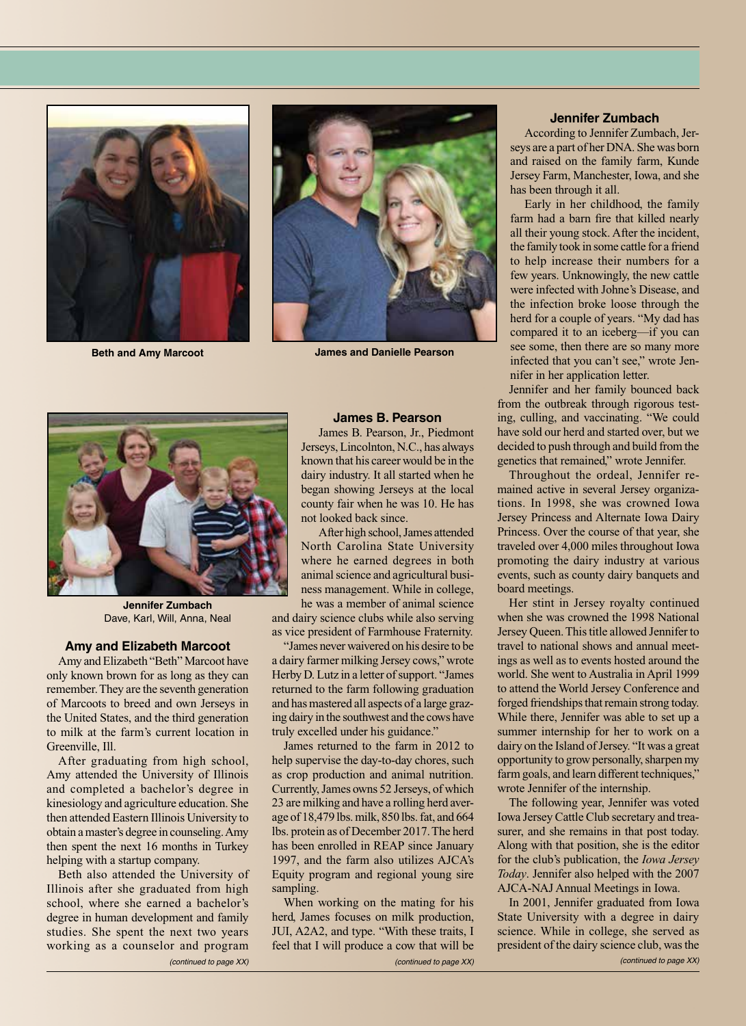



**Beth and Amy Marcoot James and Danielle Pearson**



**Jennifer Zumbach** Dave, Karl, Will, Anna, Neal

#### **Amy and Elizabeth Marcoot**

Amy and Elizabeth "Beth" Marcoot have only known brown for as long as they can remember. They are the seventh generation of Marcoots to breed and own Jerseys in the United States, and the third generation to milk at the farm's current location in Greenville, Ill.

After graduating from high school, Amy attended the University of Illinois and completed a bachelor's degree in kinesiology and agriculture education. She then attended Eastern Illinois University to obtain a master's degree in counseling. Amy then spent the next 16 months in Turkey helping with a startup company.

Beth also attended the University of Illinois after she graduated from high school, where she earned a bachelor's degree in human development and family studies. She spent the next two years working as a counselor and program

## **James B. Pearson**

James B. Pearson, Jr., Piedmont Jerseys, Lincolnton, N.C., has always known that his career would be in the dairy industry. It all started when he began showing Jerseys at the local county fair when he was 10. He has not looked back since.

After high school, James attended North Carolina State University where he earned degrees in both animal science and agricultural business management. While in college,

he was a member of animal science and dairy science clubs while also serving as vice president of Farmhouse Fraternity.

"James never waivered on his desire to be a dairy farmer milking Jersey cows," wrote Herby D. Lutz in a letter of support. "James returned to the farm following graduation and has mastered all aspects of a large grazing dairy in the southwest and the cows have truly excelled under his guidance."

James returned to the farm in 2012 to help supervise the day-to-day chores, such as crop production and animal nutrition. Currently, James owns 52 Jerseys, of which 23 are milking and have a rolling herd average of 18,479 lbs. milk, 850 lbs. fat, and 664 lbs. protein as of December 2017. The herd has been enrolled in REAP since January 1997, and the farm also utilizes AJCA's Equity program and regional young sire sampling.

*(continued to page XX) (continued to page XX)* When working on the mating for his herd, James focuses on milk production, JUI, A2A2, and type. "With these traits, I feel that I will produce a cow that will be

## **Jennifer Zumbach**

According to Jennifer Zumbach, Jerseys are a part of her DNA. She was born and raised on the family farm, Kunde Jersey Farm, Manchester, Iowa, and she has been through it all.

Early in her childhood, the family farm had a barn fire that killed nearly all their young stock. After the incident, the family took in some cattle for a friend to help increase their numbers for a few years. Unknowingly, the new cattle were infected with Johne's Disease, and the infection broke loose through the herd for a couple of years. "My dad has compared it to an iceberg—if you can see some, then there are so many more infected that you can't see," wrote Jennifer in her application letter.

Jennifer and her family bounced back from the outbreak through rigorous testing, culling, and vaccinating. "We could have sold our herd and started over, but we decided to push through and build from the genetics that remained," wrote Jennifer.

Throughout the ordeal, Jennifer remained active in several Jersey organizations. In 1998, she was crowned Iowa Jersey Princess and Alternate Iowa Dairy Princess. Over the course of that year, she traveled over 4,000 miles throughout Iowa promoting the dairy industry at various events, such as county dairy banquets and board meetings.

Her stint in Jersey royalty continued when she was crowned the 1998 National Jersey Queen. This title allowed Jennifer to travel to national shows and annual meetings as well as to events hosted around the world. She went to Australia in April 1999 to attend the World Jersey Conference and forged friendships that remain strong today. While there, Jennifer was able to set up a summer internship for her to work on a dairy on the Island of Jersey. "It was a great opportunity to grow personally, sharpen my farm goals, and learn different techniques," wrote Jennifer of the internship.

The following year, Jennifer was voted Iowa Jersey Cattle Club secretary and treasurer, and she remains in that post today. Along with that position, she is the editor for the club's publication, the *Iowa Jersey Today*. Jennifer also helped with the 2007 AJCA-NAJ Annual Meetings in Iowa.

In 2001, Jennifer graduated from Iowa State University with a degree in dairy science. While in college, she served as president of the dairy science club, was the *(continued to page XX)*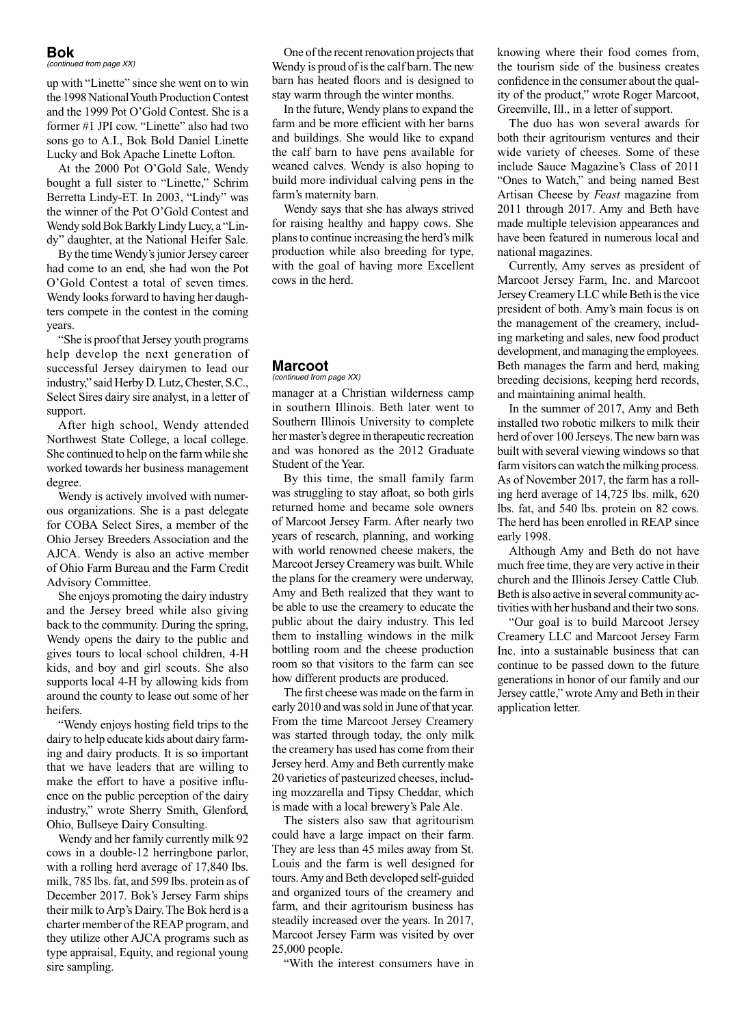#### **Bok**

*(continued from page XX)*

up with "Linette" since she went on to win the 1998 National Youth Production Contest and the 1999 Pot O'Gold Contest. She is a former #1 JPI cow. "Linette" also had two sons go to A.I., Bok Bold Daniel Linette Lucky and Bok Apache Linette Lofton.

At the 2000 Pot O'Gold Sale, Wendy bought a full sister to "Linette," Schrim Berretta Lindy-ET. In 2003, "Lindy" was the winner of the Pot O'Gold Contest and Wendy sold Bok Barkly Lindy Lucy, a "Lindy" daughter, at the National Heifer Sale.

By the time Wendy's junior Jersey career had come to an end, she had won the Pot O'Gold Contest a total of seven times. Wendy looks forward to having her daughters compete in the contest in the coming years.

"She is proof that Jersey youth programs help develop the next generation of successful Jersey dairymen to lead our industry," said Herby D. Lutz, Chester, S.C., Select Sires dairy sire analyst, in a letter of support.

After high school, Wendy attended Northwest State College, a local college. She continued to help on the farm while she worked towards her business management degree.

Wendy is actively involved with numerous organizations. She is a past delegate for COBA Select Sires, a member of the Ohio Jersey Breeders Association and the AJCA. Wendy is also an active member of Ohio Farm Bureau and the Farm Credit Advisory Committee.

She enjoys promoting the dairy industry and the Jersey breed while also giving back to the community. During the spring, Wendy opens the dairy to the public and gives tours to local school children, 4-H kids, and boy and girl scouts. She also supports local 4-H by allowing kids from around the county to lease out some of her heifers.

"Wendy enjoys hosting field trips to the dairy to help educate kids about dairy farming and dairy products. It is so important that we have leaders that are willing to make the effort to have a positive influence on the public perception of the dairy industry," wrote Sherry Smith, Glenford, Ohio, Bullseye Dairy Consulting.

Wendy and her family currently milk 92 cows in a double-12 herringbone parlor, with a rolling herd average of 17,840 lbs. milk, 785 lbs. fat, and 599 lbs. protein as of December 2017. Bok's Jersey Farm ships their milk to Arp's Dairy. The Bok herd is a charter member of the REAP program, and they utilize other AJCA programs such as type appraisal, Equity, and regional young sire sampling.

One of the recent renovation projects that Wendy is proud of is the calf barn. The new barn has heated floors and is designed to stay warm through the winter months.

In the future, Wendy plans to expand the farm and be more efficient with her barns and buildings. She would like to expand the calf barn to have pens available for weaned calves. Wendy is also hoping to build more individual calving pens in the farm's maternity barn.

Wendy says that she has always strived for raising healthy and happy cows. She plans to continue increasing the herd's milk production while also breeding for type, with the goal of having more Excellent cows in the herd.

#### **Marcoot** *(continued from page XX)*

manager at a Christian wilderness camp in southern Illinois. Beth later went to Southern Illinois University to complete her master's degree in therapeutic recreation and was honored as the 2012 Graduate Student of the Year.

By this time, the small family farm was struggling to stay afloat, so both girls returned home and became sole owners of Marcoot Jersey Farm. After nearly two years of research, planning, and working with world renowned cheese makers, the Marcoot Jersey Creamery was built. While the plans for the creamery were underway, Amy and Beth realized that they want to be able to use the creamery to educate the public about the dairy industry. This led them to installing windows in the milk bottling room and the cheese production room so that visitors to the farm can see how different products are produced.

The first cheese was made on the farm in early 2010 and was sold in June of that year. From the time Marcoot Jersey Creamery was started through today, the only milk the creamery has used has come from their Jersey herd. Amy and Beth currently make 20 varieties of pasteurized cheeses, including mozzarella and Tipsy Cheddar, which is made with a local brewery's Pale Ale.

The sisters also saw that agritourism could have a large impact on their farm. They are less than 45 miles away from St. Louis and the farm is well designed for tours. Amy and Beth developed self-guided and organized tours of the creamery and farm, and their agritourism business has steadily increased over the years. In 2017, Marcoot Jersey Farm was visited by over 25,000 people.

"With the interest consumers have in

knowing where their food comes from, the tourism side of the business creates confidence in the consumer about the quality of the product," wrote Roger Marcoot, Greenville, Ill., in a letter of support.

The duo has won several awards for both their agritourism ventures and their wide variety of cheeses. Some of these include Sauce Magazine's Class of 2011 "Ones to Watch," and being named Best Artisan Cheese by *Feast* magazine from 2011 through 2017. Amy and Beth have made multiple television appearances and have been featured in numerous local and national magazines.

Currently, Amy serves as president of Marcoot Jersey Farm, Inc. and Marcoot Jersey Creamery LLC while Beth is the vice president of both. Amy's main focus is on the management of the creamery, including marketing and sales, new food product development, and managing the employees. Beth manages the farm and herd, making breeding decisions, keeping herd records, and maintaining animal health.

In the summer of 2017, Amy and Beth installed two robotic milkers to milk their herd of over 100 Jerseys. The new barn was built with several viewing windows so that farm visitors can watch the milking process. As of November 2017, the farm has a rolling herd average of 14,725 lbs. milk, 620 lbs. fat, and 540 lbs. protein on 82 cows. The herd has been enrolled in REAP since early 1998.

Although Amy and Beth do not have much free time, they are very active in their church and the Illinois Jersey Cattle Club. Beth is also active in several community activities with her husband and their two sons.

"Our goal is to build Marcoot Jersey Creamery LLC and Marcoot Jersey Farm Inc. into a sustainable business that can continue to be passed down to the future generations in honor of our family and our Jersey cattle," wrote Amy and Beth in their application letter.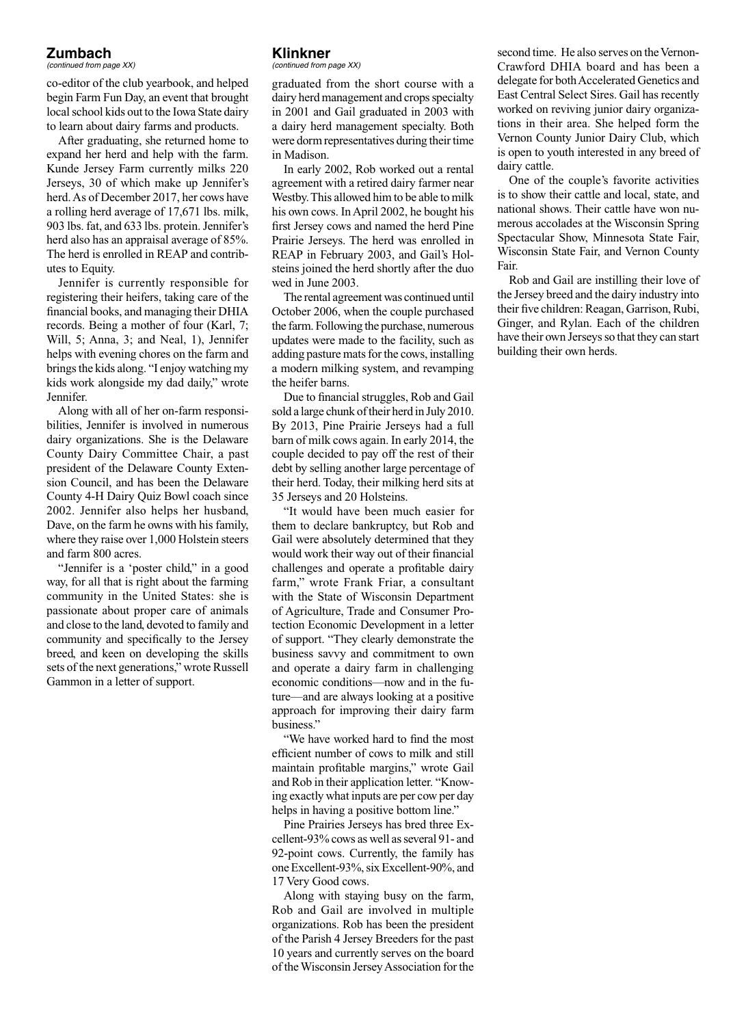# **Zumbach**

*(continued from page XX)*

co-editor of the club yearbook, and helped begin Farm Fun Day, an event that brought local school kids out to the Iowa State dairy to learn about dairy farms and products.

After graduating, she returned home to expand her herd and help with the farm. Kunde Jersey Farm currently milks 220 Jerseys, 30 of which make up Jennifer's herd. As of December 2017, her cows have a rolling herd average of 17,671 lbs. milk, 903 lbs. fat, and 633 lbs. protein. Jennifer's herd also has an appraisal average of 85%. The herd is enrolled in REAP and contributes to Equity.

Jennifer is currently responsible for registering their heifers, taking care of the financial books, and managing their DHIA records. Being a mother of four (Karl, 7; Will, 5; Anna, 3; and Neal, 1), Jennifer helps with evening chores on the farm and brings the kids along. "I enjoy watching my kids work alongside my dad daily," wrote Jennifer.

Along with all of her on-farm responsibilities, Jennifer is involved in numerous dairy organizations. She is the Delaware County Dairy Committee Chair, a past president of the Delaware County Extension Council, and has been the Delaware County 4-H Dairy Quiz Bowl coach since 2002. Jennifer also helps her husband, Dave, on the farm he owns with his family, where they raise over 1,000 Holstein steers and farm 800 acres.

"Jennifer is a 'poster child," in a good way, for all that is right about the farming community in the United States: she is passionate about proper care of animals and close to the land, devoted to family and community and specifically to the Jersey breed, and keen on developing the skills sets of the next generations," wrote Russell Gammon in a letter of support.

# **Klinkner**

*(continued from page XX)*

graduated from the short course with a dairy herd management and crops specialty in 2001 and Gail graduated in 2003 with a dairy herd management specialty. Both were dorm representatives during their time in Madison.

In early 2002, Rob worked out a rental agreement with a retired dairy farmer near Westby. This allowed him to be able to milk his own cows. In April 2002, he bought his first Jersey cows and named the herd Pine Prairie Jerseys. The herd was enrolled in REAP in February 2003, and Gail's Holsteins joined the herd shortly after the duo wed in June 2003.

The rental agreement was continued until October 2006, when the couple purchased the farm. Following the purchase, numerous updates were made to the facility, such as adding pasture mats for the cows, installing a modern milking system, and revamping the heifer barns.

Due to financial struggles, Rob and Gail sold a large chunk of their herd in July 2010. By 2013, Pine Prairie Jerseys had a full barn of milk cows again. In early 2014, the couple decided to pay off the rest of their debt by selling another large percentage of their herd. Today, their milking herd sits at 35 Jerseys and 20 Holsteins.

"It would have been much easier for them to declare bankruptcy, but Rob and Gail were absolutely determined that they would work their way out of their financial challenges and operate a profitable dairy farm," wrote Frank Friar, a consultant with the State of Wisconsin Department of Agriculture, Trade and Consumer Protection Economic Development in a letter of support. "They clearly demonstrate the business savvy and commitment to own and operate a dairy farm in challenging economic conditions—now and in the future—and are always looking at a positive approach for improving their dairy farm business."

"We have worked hard to find the most efficient number of cows to milk and still maintain profitable margins," wrote Gail and Rob in their application letter. "Knowing exactly what inputs are per cow per day helps in having a positive bottom line."

Pine Prairies Jerseys has bred three Excellent-93% cows as well as several 91- and 92-point cows. Currently, the family has one Excellent-93%, six Excellent-90%, and 17 Very Good cows.

Along with staying busy on the farm, Rob and Gail are involved in multiple organizations. Rob has been the president of the Parish 4 Jersey Breeders for the past 10 years and currently serves on the board of the Wisconsin Jersey Association for the

second time. He also serves on the Vernon-Crawford DHIA board and has been a delegate for both Accelerated Genetics and East Central Select Sires. Gail has recently worked on reviving junior dairy organizations in their area. She helped form the Vernon County Junior Dairy Club, which is open to youth interested in any breed of dairy cattle.

One of the couple's favorite activities is to show their cattle and local, state, and national shows. Their cattle have won numerous accolades at the Wisconsin Spring Spectacular Show, Minnesota State Fair, Wisconsin State Fair, and Vernon County Fair.

Rob and Gail are instilling their love of the Jersey breed and the dairy industry into their five children: Reagan, Garrison, Rubi, Ginger, and Rylan. Each of the children have their own Jerseys so that they can start building their own herds.